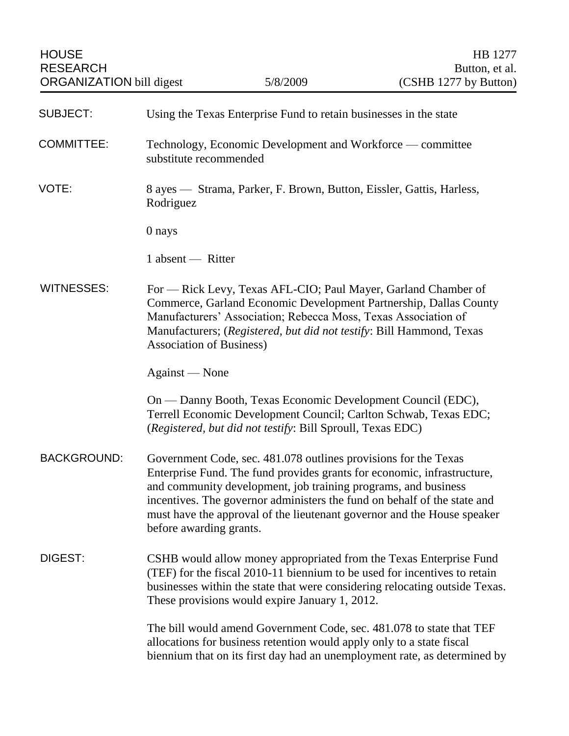| <b>SUBJECT:</b>    | Using the Texas Enterprise Fund to retain businesses in the state                                                                                                                                                                                                                                                                                                                              |
|--------------------|------------------------------------------------------------------------------------------------------------------------------------------------------------------------------------------------------------------------------------------------------------------------------------------------------------------------------------------------------------------------------------------------|
| <b>COMMITTEE:</b>  | Technology, Economic Development and Workforce — committee<br>substitute recommended                                                                                                                                                                                                                                                                                                           |
| VOTE:              | 8 ayes — Strama, Parker, F. Brown, Button, Eissler, Gattis, Harless,<br>Rodriguez                                                                                                                                                                                                                                                                                                              |
|                    | 0 nays                                                                                                                                                                                                                                                                                                                                                                                         |
|                    | 1 absent — Ritter                                                                                                                                                                                                                                                                                                                                                                              |
| <b>WITNESSES:</b>  | For - Rick Levy, Texas AFL-CIO; Paul Mayer, Garland Chamber of<br>Commerce, Garland Economic Development Partnership, Dallas County<br>Manufacturers' Association; Rebecca Moss, Texas Association of<br>Manufacturers; (Registered, but did not testify: Bill Hammond, Texas<br><b>Association of Business)</b>                                                                               |
|                    | Against - None                                                                                                                                                                                                                                                                                                                                                                                 |
|                    | On — Danny Booth, Texas Economic Development Council (EDC),<br>Terrell Economic Development Council; Carlton Schwab, Texas EDC;<br>(Registered, but did not testify: Bill Sproull, Texas EDC)                                                                                                                                                                                                  |
| <b>BACKGROUND:</b> | Government Code, sec. 481.078 outlines provisions for the Texas<br>Enterprise Fund. The fund provides grants for economic, infrastructure,<br>and community development, job training programs, and business<br>incentives. The governor administers the fund on behalf of the state and<br>must have the approval of the lieutenant governor and the House speaker<br>before awarding grants. |
| <b>DIGEST:</b>     | CSHB would allow money appropriated from the Texas Enterprise Fund<br>(TEF) for the fiscal 2010-11 biennium to be used for incentives to retain<br>businesses within the state that were considering relocating outside Texas.<br>These provisions would expire January 1, 2012.                                                                                                               |
|                    | The bill would amend Government Code, sec. 481.078 to state that TEF<br>allocations for business retention would apply only to a state fiscal<br>biennium that on its first day had an unemployment rate, as determined by                                                                                                                                                                     |